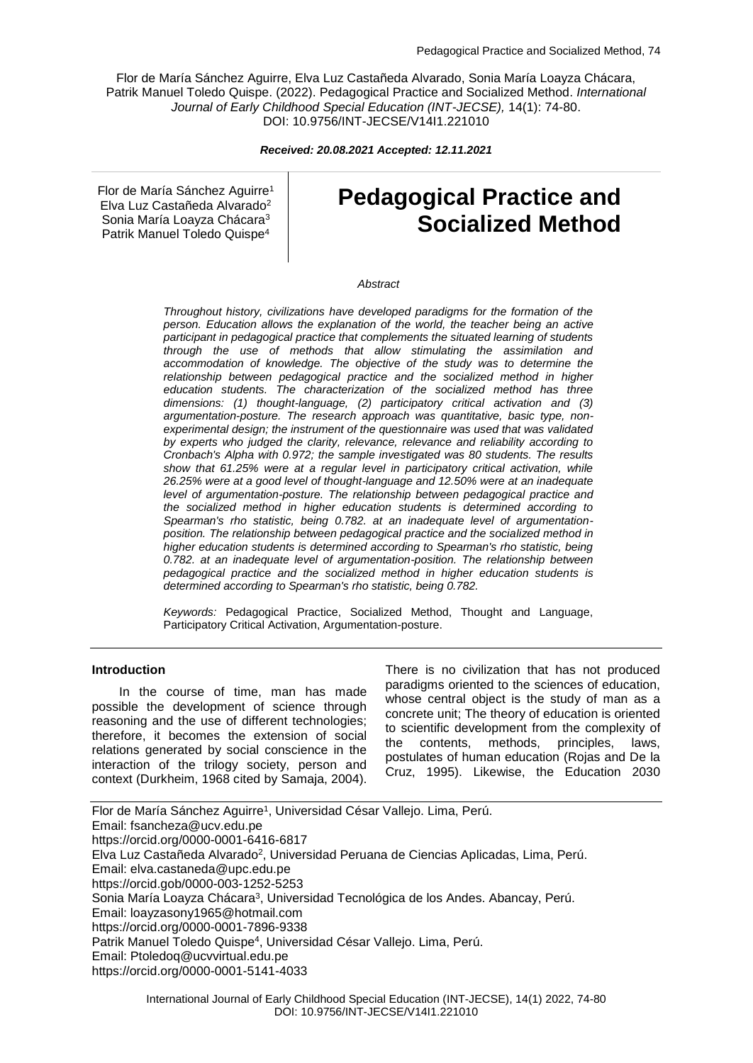Flor de María Sánchez Aguirre, Elva Luz Castañeda Alvarado, Sonia María Loayza Chácara, Patrik Manuel Toledo Quispe. (2022). Pedagogical Practice and Socialized Method. *International Journal of Early Childhood Special Education (INT-JECSE),* 14(1): 74-80. DOI: 10.9756/INT-JECSE/V14I1.221010

*Received: 20.08.2021 Accepted: 12.11.2021*

Flor de María Sánchez Aguirre<sup>1</sup> Elva Luz Castañeda Alvarado<sup>2</sup> Sonia María Loayza Chácara<sup>3</sup> Patrik Manuel Toledo Quispe<sup>4</sup>

# **Pedagogical Practice and Socialized Method**

#### *Abstract*

*Throughout history, civilizations have developed paradigms for the formation of the person. Education allows the explanation of the world, the teacher being an active participant in pedagogical practice that complements the situated learning of students through the use of methods that allow stimulating the assimilation and accommodation of knowledge. The objective of the study was to determine the relationship between pedagogical practice and the socialized method in higher education students. The characterization of the socialized method has three dimensions: (1) thought-language, (2) participatory critical activation and (3) argumentation-posture. The research approach was quantitative, basic type, nonexperimental design; the instrument of the questionnaire was used that was validated by experts who judged the clarity, relevance, relevance and reliability according to Cronbach's Alpha with 0.972; the sample investigated was 80 students. The results show that 61.25% were at a regular level in participatory critical activation, while 26.25% were at a good level of thought-language and 12.50% were at an inadequate level of argumentation-posture. The relationship between pedagogical practice and the socialized method in higher education students is determined according to Spearman's rho statistic, being 0.782. at an inadequate level of argumentationposition. The relationship between pedagogical practice and the socialized method in higher education students is determined according to Spearman's rho statistic, being 0.782. at an inadequate level of argumentation-position. The relationship between pedagogical practice and the socialized method in higher education students is determined according to Spearman's rho statistic, being 0.782.*

*Keywords:* Pedagogical Practice, Socialized Method, Thought and Language, Participatory Critical Activation, Argumentation-posture.

#### **Introduction**

In the course of time, man has made possible the development of science through reasoning and the use of different technologies; therefore, it becomes the extension of social relations generated by social conscience in the interaction of the trilogy society, person and context (Durkheim, 1968 cited by Samaja, 2004).

There is no civilization that has not produced paradigms oriented to the sciences of education, whose central object is the study of man as a concrete unit; The theory of education is oriented to scientific development from the complexity of the contents, methods, principles, laws, postulates of human education (Rojas and De la Cruz, 1995). Likewise, the Education 2030

Flor de María Sánchez Aguirre<sup>1</sup>, Universidad César Vallejo. Lima, Perú. Email: fsancheza@ucv.edu.pe https://orcid.org/0000-0001-6416-6817 Elva Luz Castañeda Alvarado<sup>2</sup>, Universidad Peruana de Ciencias Aplicadas, Lima, Perú. Email: elva.castaneda@upc.edu.pe https://orcid.gob/0000-003-1252-5253 Sonia María Loayza Chácara<sup>3</sup>, Universidad Tecnológica de los Andes. Abancay, Perú. Email: loayzasony1965@hotmail.com https://orcid.org/0000-0001-7896-9338 Patrik Manuel Toledo Quispe<sup>4</sup>, Universidad César Vallejo. Lima, Perú. Email: Ptoledoq@ucvvirtual.edu.pe https://orcid.org/0000-0001-5141-4033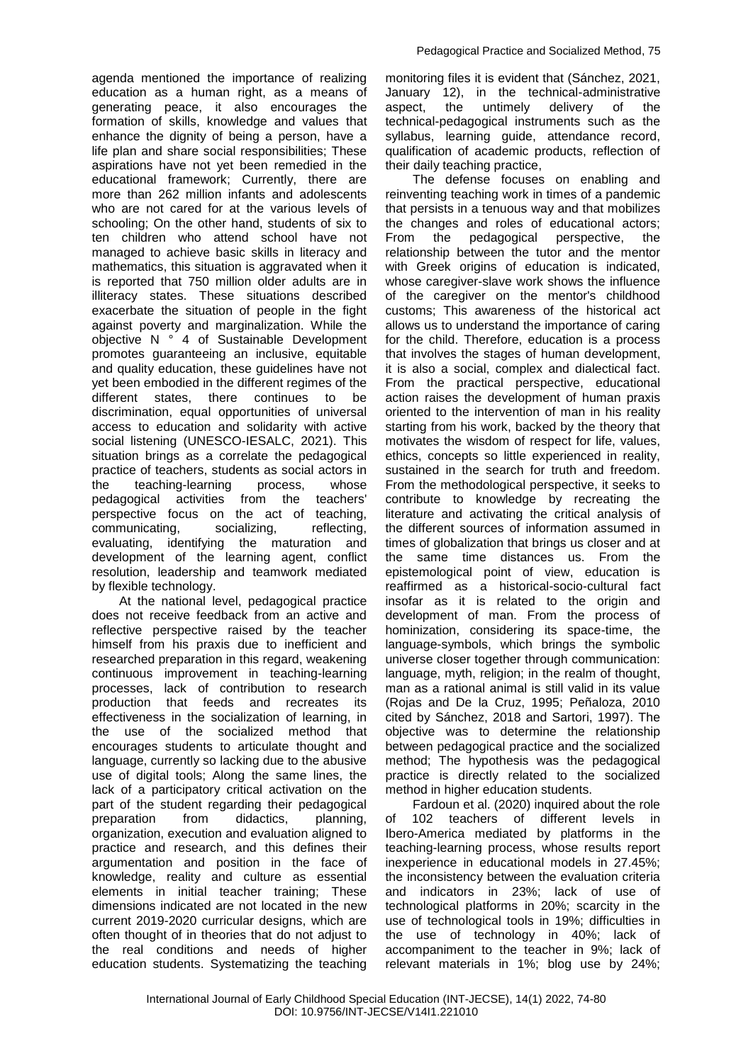agenda mentioned the importance of realizing education as a human right, as a means of generating peace, it also encourages the formation of skills, knowledge and values that enhance the dignity of being a person, have a life plan and share social responsibilities; These aspirations have not yet been remedied in the educational framework; Currently, there are more than 262 million infants and adolescents who are not cared for at the various levels of schooling; On the other hand, students of six to ten children who attend school have not managed to achieve basic skills in literacy and mathematics, this situation is aggravated when it is reported that 750 million older adults are in illiteracy states. These situations described exacerbate the situation of people in the fight against poverty and marginalization. While the objective N ° 4 of Sustainable Development promotes guaranteeing an inclusive, equitable and quality education, these guidelines have not yet been embodied in the different regimes of the different states, there continues to be discrimination, equal opportunities of universal access to education and solidarity with active social listening (UNESCO-IESALC, 2021). This situation brings as a correlate the pedagogical practice of teachers, students as social actors in the teaching-learning process, whose pedagogical activities from the teachers' perspective focus on the act of teaching, communicating, socializing, reflecting, evaluating, identifying the maturation and development of the learning agent, conflict resolution, leadership and teamwork mediated by flexible technology.

At the national level, pedagogical practice does not receive feedback from an active and reflective perspective raised by the teacher himself from his praxis due to inefficient and researched preparation in this regard, weakening continuous improvement in teaching-learning processes, lack of contribution to research production that feeds and recreates its effectiveness in the socialization of learning, in the use of the socialized method that encourages students to articulate thought and language, currently so lacking due to the abusive use of digital tools; Along the same lines, the lack of a participatory critical activation on the part of the student regarding their pedagogical preparation from didactics, planning, organization, execution and evaluation aligned to practice and research, and this defines their argumentation and position in the face of knowledge, reality and culture as essential elements in initial teacher training; These dimensions indicated are not located in the new current 2019-2020 curricular designs, which are often thought of in theories that do not adjust to the real conditions and needs of higher education students. Systematizing the teaching

monitoring files it is evident that (Sánchez, 2021, January 12), in the technical-administrative aspect, the untimely delivery of the technical-pedagogical instruments such as the syllabus, learning guide, attendance record, qualification of academic products, reflection of their daily teaching practice,

The defense focuses on enabling and reinventing teaching work in times of a pandemic that persists in a tenuous way and that mobilizes the changes and roles of educational actors; From the pedagogical perspective, the relationship between the tutor and the mentor with Greek origins of education is indicated, whose caregiver-slave work shows the influence of the caregiver on the mentor's childhood customs; This awareness of the historical act allows us to understand the importance of caring for the child. Therefore, education is a process that involves the stages of human development, it is also a social, complex and dialectical fact. From the practical perspective, educational action raises the development of human praxis oriented to the intervention of man in his reality starting from his work, backed by the theory that motivates the wisdom of respect for life, values, ethics, concepts so little experienced in reality, sustained in the search for truth and freedom. From the methodological perspective, it seeks to contribute to knowledge by recreating the literature and activating the critical analysis of the different sources of information assumed in times of globalization that brings us closer and at the same time distances us. From the epistemological point of view, education is reaffirmed as a historical-socio-cultural fact insofar as it is related to the origin and development of man. From the process of hominization, considering its space-time, the language-symbols, which brings the symbolic universe closer together through communication: language, myth, religion; in the realm of thought, man as a rational animal is still valid in its value (Rojas and De la Cruz, 1995; Peñaloza, 2010 cited by Sánchez, 2018 and Sartori, 1997). The objective was to determine the relationship between pedagogical practice and the socialized method; The hypothesis was the pedagogical practice is directly related to the socialized method in higher education students.

Fardoun et al. (2020) inquired about the role of 102 teachers of different levels in Ibero-America mediated by platforms in the teaching-learning process, whose results report inexperience in educational models in 27.45%; the inconsistency between the evaluation criteria and indicators in 23%; lack of use of technological platforms in 20%; scarcity in the use of technological tools in 19%; difficulties in the use of technology in 40%; lack of accompaniment to the teacher in 9%; lack of relevant materials in 1%; blog use by 24%;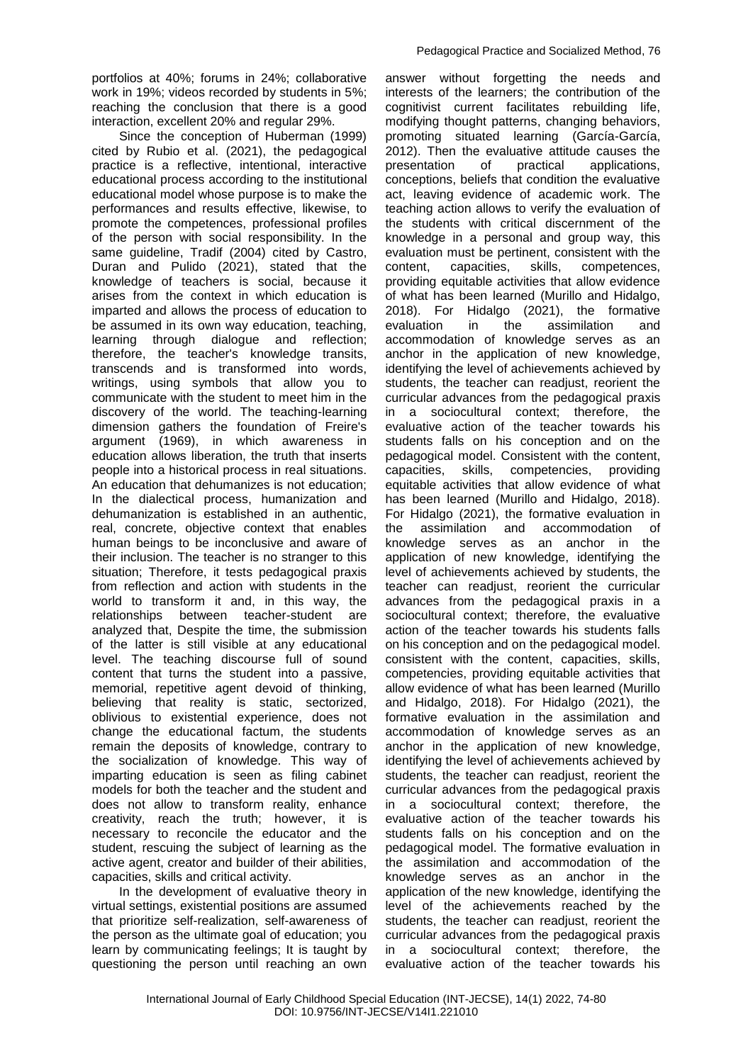portfolios at 40%; forums in 24%; collaborative work in 19%; videos recorded by students in 5%; reaching the conclusion that there is a good interaction, excellent 20% and regular 29%.

Since the conception of Huberman (1999) cited by Rubio et al. (2021), the pedagogical practice is a reflective, intentional, interactive educational process according to the institutional educational model whose purpose is to make the performances and results effective, likewise, to promote the competences, professional profiles of the person with social responsibility. In the same guideline, Tradif (2004) cited by Castro, Duran and Pulido (2021), stated that the knowledge of teachers is social, because it arises from the context in which education is imparted and allows the process of education to be assumed in its own way education, teaching, learning through dialogue and reflection; therefore, the teacher's knowledge transits, transcends and is transformed into words, writings, using symbols that allow you to communicate with the student to meet him in the discovery of the world. The teaching-learning dimension gathers the foundation of Freire's argument (1969), in which awareness in education allows liberation, the truth that inserts people into a historical process in real situations. An education that dehumanizes is not education; In the dialectical process, humanization and dehumanization is established in an authentic, real, concrete, objective context that enables human beings to be inconclusive and aware of their inclusion. The teacher is no stranger to this situation; Therefore, it tests pedagogical praxis from reflection and action with students in the world to transform it and, in this way, the relationships between teacher-student are analyzed that, Despite the time, the submission of the latter is still visible at any educational level. The teaching discourse full of sound content that turns the student into a passive, memorial, repetitive agent devoid of thinking, believing that reality is static, sectorized, oblivious to existential experience, does not change the educational factum, the students remain the deposits of knowledge, contrary to the socialization of knowledge. This way of imparting education is seen as filing cabinet models for both the teacher and the student and does not allow to transform reality, enhance creativity, reach the truth; however, it is necessary to reconcile the educator and the student, rescuing the subject of learning as the active agent, creator and builder of their abilities, capacities, skills and critical activity.

In the development of evaluative theory in virtual settings, existential positions are assumed that prioritize self-realization, self-awareness of the person as the ultimate goal of education; you learn by communicating feelings; It is taught by questioning the person until reaching an own

answer without forgetting the needs and interests of the learners; the contribution of the cognitivist current facilitates rebuilding life, modifying thought patterns, changing behaviors, promoting situated learning (García-García, 2012). Then the evaluative attitude causes the presentation of practical applications, conceptions, beliefs that condition the evaluative act, leaving evidence of academic work. The teaching action allows to verify the evaluation of the students with critical discernment of the knowledge in a personal and group way, this evaluation must be pertinent, consistent with the content, capacities, skills, competences, providing equitable activities that allow evidence of what has been learned (Murillo and Hidalgo, 2018). For Hidalgo (2021), the formative evaluation in the assimilation and accommodation of knowledge serves as an anchor in the application of new knowledge, identifying the level of achievements achieved by students, the teacher can readjust, reorient the curricular advances from the pedagogical praxis in a sociocultural context; therefore, the evaluative action of the teacher towards his students falls on his conception and on the pedagogical model. Consistent with the content, capacities, skills, competencies, providing equitable activities that allow evidence of what has been learned (Murillo and Hidalgo, 2018). For Hidalgo (2021), the formative evaluation in the assimilation and accommodation of knowledge serves as an anchor in the application of new knowledge, identifying the level of achievements achieved by students, the teacher can readjust, reorient the curricular advances from the pedagogical praxis in a sociocultural context; therefore, the evaluative action of the teacher towards his students falls on his conception and on the pedagogical model. consistent with the content, capacities, skills, competencies, providing equitable activities that allow evidence of what has been learned (Murillo and Hidalgo, 2018). For Hidalgo (2021), the formative evaluation in the assimilation and accommodation of knowledge serves as an anchor in the application of new knowledge, identifying the level of achievements achieved by students, the teacher can readjust, reorient the curricular advances from the pedagogical praxis in a sociocultural context; therefore, the evaluative action of the teacher towards his students falls on his conception and on the pedagogical model. The formative evaluation in the assimilation and accommodation of the knowledge serves as an anchor in the application of the new knowledge, identifying the level of the achievements reached by the students, the teacher can readjust, reorient the curricular advances from the pedagogical praxis in a sociocultural context; therefore, the evaluative action of the teacher towards his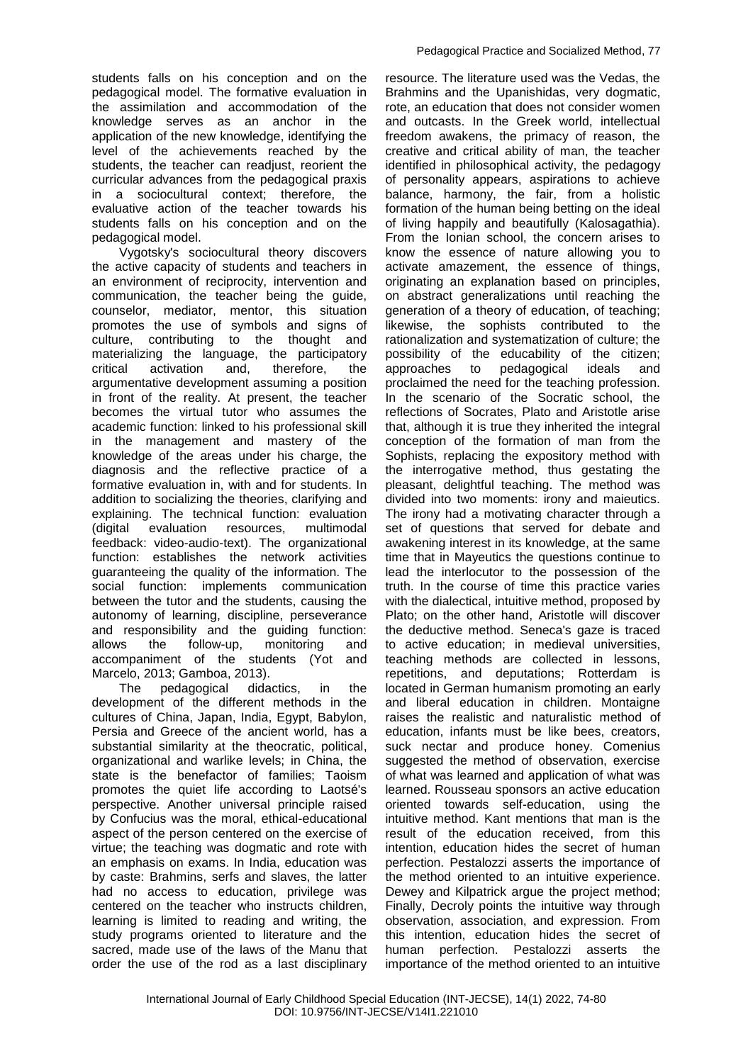students falls on his conception and on the pedagogical model. The formative evaluation in the assimilation and accommodation of the knowledge serves as an anchor in the application of the new knowledge, identifying the level of the achievements reached by the students, the teacher can readjust, reorient the curricular advances from the pedagogical praxis in a sociocultural context; therefore, the evaluative action of the teacher towards his students falls on his conception and on the pedagogical model.

Vygotsky's sociocultural theory discovers the active capacity of students and teachers in an environment of reciprocity, intervention and communication, the teacher being the guide, counselor, mediator, mentor, this situation promotes the use of symbols and signs of culture, contributing to the thought and materializing the language, the participatory critical activation and, therefore, the argumentative development assuming a position in front of the reality. At present, the teacher becomes the virtual tutor who assumes the academic function: linked to his professional skill in the management and mastery of the knowledge of the areas under his charge, the diagnosis and the reflective practice of a formative evaluation in, with and for students. In addition to socializing the theories, clarifying and explaining. The technical function: evaluation (digital evaluation resources, multimodal feedback: video-audio-text). The organizational function: establishes the network activities guaranteeing the quality of the information. The social function: implements communication between the tutor and the students, causing the autonomy of learning, discipline, perseverance and responsibility and the guiding function: allows the follow-up, monitoring and accompaniment of the students (Yot and Marcelo, 2013; Gamboa, 2013).

The pedagogical didactics, in the development of the different methods in the cultures of China, Japan, India, Egypt, Babylon, Persia and Greece of the ancient world, has a substantial similarity at the theocratic, political, organizational and warlike levels; in China, the state is the benefactor of families; Taoism promotes the quiet life according to Laotsé's perspective. Another universal principle raised by Confucius was the moral, ethical-educational aspect of the person centered on the exercise of virtue; the teaching was dogmatic and rote with an emphasis on exams. In India, education was by caste: Brahmins, serfs and slaves, the latter had no access to education, privilege was centered on the teacher who instructs children, learning is limited to reading and writing, the study programs oriented to literature and the sacred, made use of the laws of the Manu that order the use of the rod as a last disciplinary

resource. The literature used was the Vedas, the Brahmins and the Upanishidas, very dogmatic, rote, an education that does not consider women and outcasts. In the Greek world, intellectual freedom awakens, the primacy of reason, the creative and critical ability of man, the teacher identified in philosophical activity, the pedagogy of personality appears, aspirations to achieve balance, harmony, the fair, from a holistic formation of the human being betting on the ideal of living happily and beautifully (Kalosagathia). From the Ionian school, the concern arises to know the essence of nature allowing you to activate amazement, the essence of things, originating an explanation based on principles, on abstract generalizations until reaching the generation of a theory of education, of teaching; likewise, the sophists contributed to the rationalization and systematization of culture; the possibility of the educability of the citizen; approaches to pedagogical ideals and proclaimed the need for the teaching profession. In the scenario of the Socratic school, the reflections of Socrates, Plato and Aristotle arise that, although it is true they inherited the integral conception of the formation of man from the Sophists, replacing the expository method with the interrogative method, thus gestating the pleasant, delightful teaching. The method was divided into two moments: irony and maieutics. The irony had a motivating character through a set of questions that served for debate and awakening interest in its knowledge, at the same time that in Mayeutics the questions continue to lead the interlocutor to the possession of the truth. In the course of time this practice varies with the dialectical, intuitive method, proposed by Plato; on the other hand, Aristotle will discover the deductive method. Seneca's gaze is traced to active education; in medieval universities, teaching methods are collected in lessons, repetitions, and deputations; Rotterdam is located in German humanism promoting an early and liberal education in children. Montaigne raises the realistic and naturalistic method of education, infants must be like bees, creators, suck nectar and produce honey. Comenius suggested the method of observation, exercise of what was learned and application of what was learned. Rousseau sponsors an active education oriented towards self-education, using the intuitive method. Kant mentions that man is the result of the education received, from this intention, education hides the secret of human perfection. Pestalozzi asserts the importance of the method oriented to an intuitive experience. Dewey and Kilpatrick argue the project method; Finally, Decroly points the intuitive way through observation, association, and expression. From this intention, education hides the secret of human perfection. Pestalozzi asserts the importance of the method oriented to an intuitive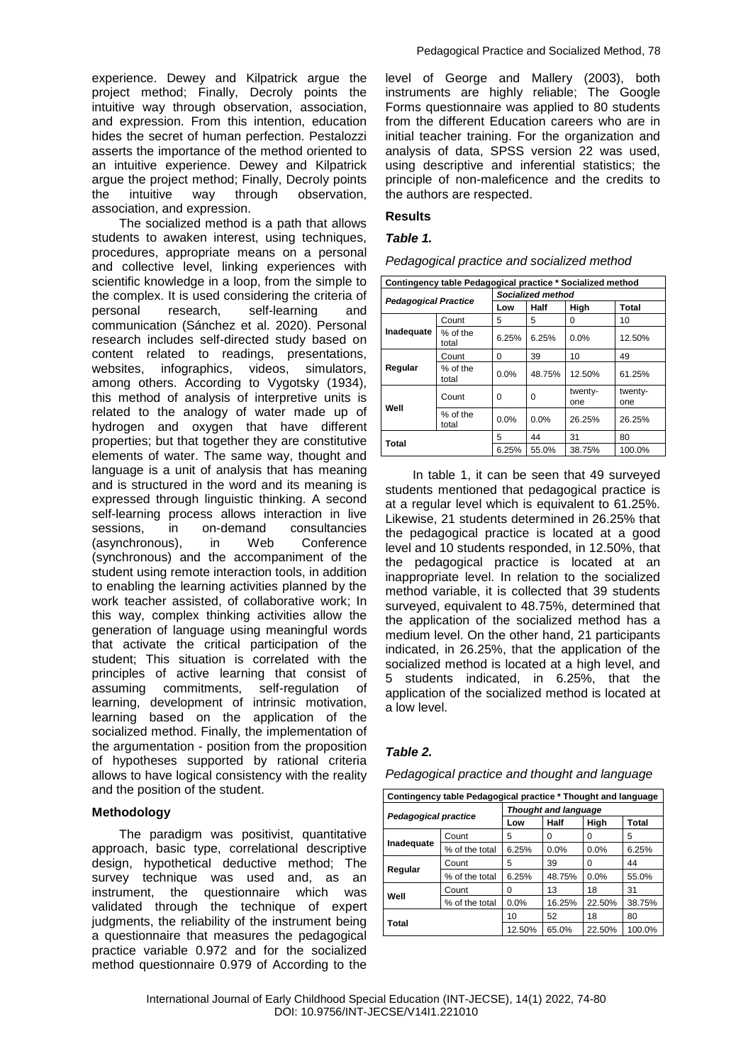experience. Dewey and Kilpatrick argue the project method; Finally, Decroly points the intuitive way through observation, association, and expression. From this intention, education hides the secret of human perfection. Pestalozzi asserts the importance of the method oriented to an intuitive experience. Dewey and Kilpatrick argue the project method; Finally, Decroly points the intuitive way through observation, association, and expression.

The socialized method is a path that allows students to awaken interest, using techniques, procedures, appropriate means on a personal and collective level, linking experiences with scientific knowledge in a loop, from the simple to the complex. It is used considering the criteria of personal research, self-learning and communication (Sánchez et al. 2020). Personal research includes self-directed study based on content related to readings, presentations, websites, infographics, videos, simulators, among others. According to Vygotsky (1934), this method of analysis of interpretive units is related to the analogy of water made up of hydrogen and oxygen that have different properties; but that together they are constitutive elements of water. The same way, thought and language is a unit of analysis that has meaning and is structured in the word and its meaning is expressed through linguistic thinking. A second self-learning process allows interaction in live sessions, in on-demand consultancies (asynchronous), in Web Conference (synchronous) and the accompaniment of the student using remote interaction tools, in addition to enabling the learning activities planned by the work teacher assisted, of collaborative work; In this way, complex thinking activities allow the generation of language using meaningful words that activate the critical participation of the student; This situation is correlated with the principles of active learning that consist of assuming commitments, self-regulation of learning, development of intrinsic motivation, learning based on the application of the socialized method. Finally, the implementation of the argumentation - position from the proposition of hypotheses supported by rational criteria allows to have logical consistency with the reality and the position of the student.

#### **Methodology**

The paradigm was positivist, quantitative approach, basic type, correlational descriptive design, hypothetical deductive method; The survey technique was used and, as an instrument, the questionnaire which was validated through the technique of expert judgments, the reliability of the instrument being a questionnaire that measures the pedagogical practice variable 0.972 and for the socialized method questionnaire 0.979 of According to the

level of George and Mallery (2003), both instruments are highly reliable; The Google Forms questionnaire was applied to 80 students from the different Education careers who are in initial teacher training. For the organization and analysis of data, SPSS version 22 was used, using descriptive and inferential statistics; the principle of non-maleficence and the credits to the authors are respected.

#### **Results**

#### *Table 1.*

| Pedagogical practice and socialized method |  |  |  |  |
|--------------------------------------------|--|--|--|--|
|--------------------------------------------|--|--|--|--|

| Contingency table Pedagogical practice * Socialized method |                   |                   |          |                |                |  |  |
|------------------------------------------------------------|-------------------|-------------------|----------|----------------|----------------|--|--|
| <b>Pedagogical Practice</b>                                |                   | Socialized method |          |                |                |  |  |
|                                                            |                   | Half<br>Low       |          | High           | <b>Total</b>   |  |  |
| Inadequate                                                 | Count             | 5                 | 5        | 0              | 10             |  |  |
|                                                            | % of the<br>total | 6.25%             | 6.25%    | 0.0%           | 12.50%         |  |  |
| Regular                                                    | Count             | $\Omega$          | 39       | 10             | 49             |  |  |
|                                                            | % of the<br>total | 0.0%              | 48.75%   | 12.50%         | 61.25%         |  |  |
| Well                                                       | Count             | 0                 | $\Omega$ | twenty-<br>one | twenty-<br>one |  |  |
|                                                            | % of the<br>total | 0.0%              | 0.0%     | 26.25%         | 26.25%         |  |  |
| Total                                                      |                   | 5                 | 44       | 31             | 80             |  |  |
|                                                            |                   | 6.25%             | 55.0%    | 38.75%         | 100.0%         |  |  |

In table 1, it can be seen that 49 surveyed students mentioned that pedagogical practice is at a regular level which is equivalent to 61.25%. Likewise, 21 students determined in 26.25% that the pedagogical practice is located at a good level and 10 students responded, in 12.50%, that the pedagogical practice is located at an inappropriate level. In relation to the socialized method variable, it is collected that 39 students surveyed, equivalent to 48.75%, determined that the application of the socialized method has a medium level. On the other hand, 21 participants indicated, in 26.25%, that the application of the socialized method is located at a high level, and 5 students indicated, in 6.25%, that the application of the socialized method is located at a low level.

## *Table 2.*

*Pedagogical practice and thought and language*

| Contingency table Pedagogical practice * Thought and language |                |                             |             |        |        |  |
|---------------------------------------------------------------|----------------|-----------------------------|-------------|--------|--------|--|
| Pedagogical practice                                          |                | <b>Thought and language</b> |             |        |        |  |
|                                                               |                | Low                         | <b>Half</b> | High   | Total  |  |
| Inadequate                                                    | Count          | 5                           | O           | 0      | 5      |  |
|                                                               | % of the total | 6.25%                       | 0.0%        | 0.0%   | 6.25%  |  |
| Regular                                                       | Count          | 5                           | 39          | 0      | 44     |  |
|                                                               | % of the total | 6.25%                       | 48.75%      | 0.0%   | 55.0%  |  |
| Well                                                          | Count          | 0                           | 13          | 18     | 31     |  |
|                                                               | % of the total | 0.0%                        | 16.25%      | 22.50% | 38.75% |  |
| Total                                                         |                | 10                          | 52          | 18     | 80     |  |
|                                                               |                | 12.50%                      | 65.0%       | 22.50% | 100.0% |  |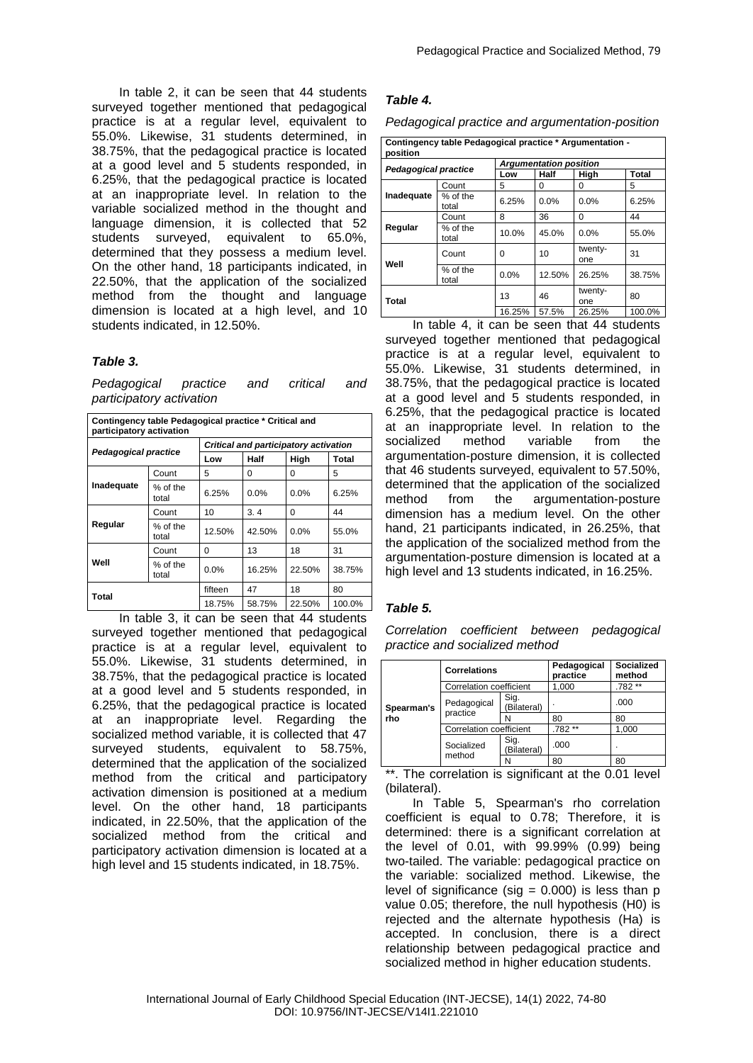In table 2, it can be seen that 44 students surveyed together mentioned that pedagogical practice is at a regular level, equivalent to 55.0%. Likewise, 31 students determined, in 38.75%, that the pedagogical practice is located at a good level and 5 students responded, in 6.25%, that the pedagogical practice is located at an inappropriate level. In relation to the variable socialized method in the thought and language dimension, it is collected that 52 students surveyed, equivalent to 65.0%, determined that they possess a medium level. On the other hand, 18 participants indicated, in 22.50%, that the application of the socialized method from the thought and language dimension is located at a high level, and 10 students indicated, in 12.50%.

#### *Table 3.*

*Pedagogical practice and critical and participatory activation*

| Contingency table Pedagogical practice * Critical and<br>participatory activation |                   |                                       |        |         |        |  |
|-----------------------------------------------------------------------------------|-------------------|---------------------------------------|--------|---------|--------|--|
| <b>Pedagogical practice</b>                                                       |                   | Critical and participatory activation |        |         |        |  |
|                                                                                   |                   | Low                                   | Half   | High    | Total  |  |
|                                                                                   | Count             | 5                                     | 0      | 0       | 5      |  |
| Inadequate                                                                        | % of the<br>total | 6.25%                                 | 0.0%   | $0.0\%$ | 6.25%  |  |
| Regular                                                                           | Count             | 10                                    | 3.4    | O       | 44     |  |
|                                                                                   | % of the<br>total | 12.50%                                | 42.50% | 0.0%    | 55.0%  |  |
| Well                                                                              | Count             | 0                                     | 13     | 18      | 31     |  |
|                                                                                   | % of the<br>total | 0.0%                                  | 16.25% | 22.50%  | 38.75% |  |
| Total                                                                             |                   | fifteen                               | 47     | 18      | 80     |  |
|                                                                                   |                   | 18.75%                                | 58.75% | 22.50%  | 100.0% |  |

In table 3, it can be seen that 44 students surveyed together mentioned that pedagogical practice is at a regular level, equivalent to 55.0%. Likewise, 31 students determined, in 38.75%, that the pedagogical practice is located at a good level and 5 students responded, in 6.25%, that the pedagogical practice is located at an inappropriate level. Regarding the socialized method variable, it is collected that 47 surveyed students, equivalent to 58.75%, determined that the application of the socialized method from the critical and participatory activation dimension is positioned at a medium level. On the other hand, 18 participants indicated, in 22.50%, that the application of the socialized method from the critical and participatory activation dimension is located at a high level and 15 students indicated, in 18.75%.

## *Table 4.*

*Pedagogical practice and argumentation-position*

| Contingency table Pedagogical practice * Argumentation -<br>position |                   |                               |              |                |              |  |
|----------------------------------------------------------------------|-------------------|-------------------------------|--------------|----------------|--------------|--|
|                                                                      |                   | <b>Argumentation position</b> |              |                |              |  |
| <b>Pedagogical practice</b>                                          |                   | Low                           | Half         | High           | <b>Total</b> |  |
|                                                                      | Count             | 5                             | <sup>0</sup> | 0              | 5            |  |
| Inadequate                                                           | % of the<br>total | 6.25%                         | 0.0%         | 0.0%           | 6.25%        |  |
| Regular                                                              | Count             | 8                             | 36           | 0              | 44           |  |
|                                                                      | % of the<br>total | 10.0%                         | 45.0%        | 0.0%           | 55.0%        |  |
| Well                                                                 | Count             | 0                             | 10           | twenty-<br>one | 31           |  |
|                                                                      | % of the<br>total | 0.0%                          | 12.50%       | 26.25%         | 38.75%       |  |
| Total                                                                |                   | 13                            | 46           | twenty-<br>one | 80           |  |
|                                                                      |                   | 16.25%                        | 57.5%        | 26.25%         | 100.0%       |  |

In table 4, it can be seen that 44 students surveyed together mentioned that pedagogical practice is at a regular level, equivalent to 55.0%. Likewise, 31 students determined, in 38.75%, that the pedagogical practice is located at a good level and 5 students responded, in 6.25%, that the pedagogical practice is located at an inappropriate level. In relation to the socialized method variable from the argumentation-posture dimension, it is collected that 46 students surveyed, equivalent to 57.50%, determined that the application of the socialized method from the argumentation-posture dimension has a medium level. On the other hand, 21 participants indicated, in 26.25%, that the application of the socialized method from the argumentation-posture dimension is located at a high level and 13 students indicated, in 16.25%.

## *Table 5.*

*Correlation coefficient between pedagogical practice and socialized method*

|                   | <b>Correlations</b>     |                     | Pedagogical<br>practice | Socialized<br>method |
|-------------------|-------------------------|---------------------|-------------------------|----------------------|
|                   | Correlation coefficient |                     | 1,000                   | .782**               |
| Spearman's<br>rho | Pedagogical<br>practice | Sig.<br>(Bilateral) |                         | .000                 |
|                   |                         | N                   | 80                      | 80                   |
|                   | Correlation coefficient |                     | .782 **                 | 1,000                |
|                   | Socialized              | Sig.<br>(Bilateral) | .000                    |                      |
|                   | method                  | N                   | 80                      | 80                   |

\*\*. The correlation is significant at the 0.01 level (bilateral).

In Table 5, Spearman's rho correlation coefficient is equal to 0.78; Therefore, it is determined: there is a significant correlation at the level of 0.01, with 99.99% (0.99) being two-tailed. The variable: pedagogical practice on the variable: socialized method. Likewise, the level of significance (sig  $= 0.000$ ) is less than p value 0.05; therefore, the null hypothesis (H0) is rejected and the alternate hypothesis (Ha) is accepted. In conclusion, there is a direct relationship between pedagogical practice and socialized method in higher education students.